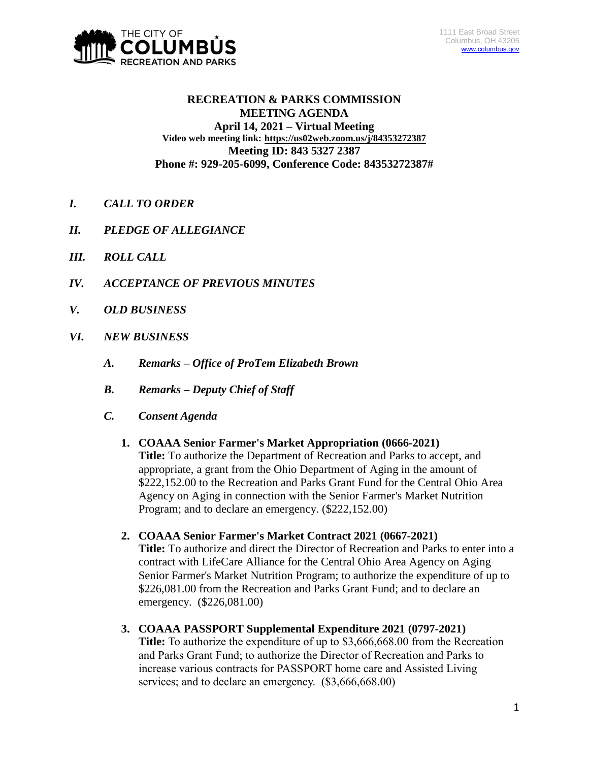

# **RECREATION & PARKS COMMISSION MEETING AGENDA April 14, 2021 – Virtual Meeting Video web meeting link: <https://us02web.zoom.us/j/84353272387> Meeting ID: 843 5327 2387 Phone #: 929-205-6099, Conference Code: 84353272387#**

- *I. CALL TO ORDER*
- *II. PLEDGE OF ALLEGIANCE*
- *III. ROLL CALL*
- *IV. ACCEPTANCE OF PREVIOUS MINUTES*
- *V. OLD BUSINESS*
- *VI. NEW BUSINESS*
	- *A. Remarks – Office of ProTem Elizabeth Brown*
	- *B. Remarks – Deputy Chief of Staff*
	- *C. Consent Agenda*
		- **1. COAAA Senior Farmer's Market Appropriation (0666-2021) Title:** To authorize the Department of Recreation and Parks to accept, and appropriate, a grant from the Ohio Department of Aging in the amount of \$222,152.00 to the Recreation and Parks Grant Fund for the Central Ohio Area Agency on Aging in connection with the Senior Farmer's Market Nutrition Program; and to declare an emergency. (\$222,152.00)
		- **2. COAAA Senior Farmer's Market Contract 2021 (0667-2021) Title:** To authorize and direct the Director of Recreation and Parks to enter into a contract with LifeCare Alliance for the Central Ohio Area Agency on Aging Senior Farmer's Market Nutrition Program; to authorize the expenditure of up to \$226,081.00 from the Recreation and Parks Grant Fund; and to declare an emergency. (\$226,081.00)
		- **3. COAAA PASSPORT Supplemental Expenditure 2021 (0797-2021) Title:** To authorize the expenditure of up to \$3,666,668.00 from the Recreation and Parks Grant Fund; to authorize the Director of Recreation and Parks to increase various contracts for PASSPORT home care and Assisted Living services; and to declare an emergency.  $(\$3,666,668.00)$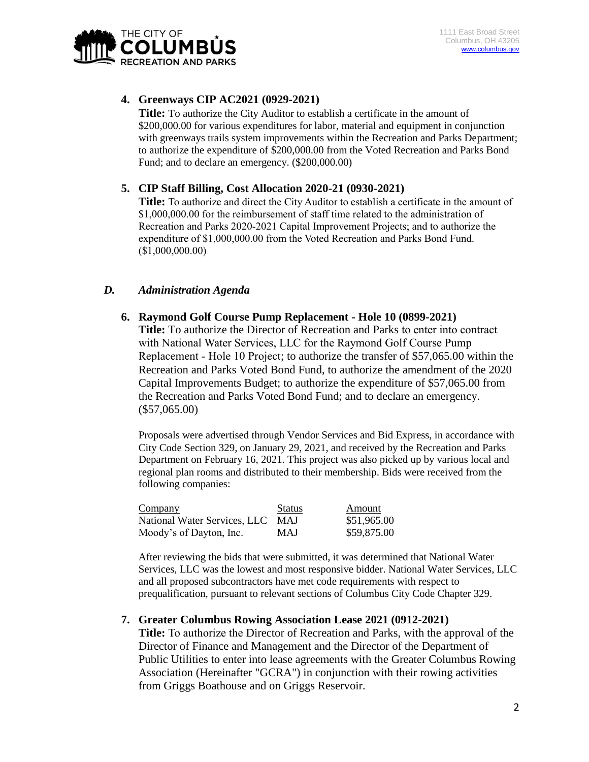

## **4. Greenways CIP AC2021 (0929-2021)**

**Title:** To authorize the City Auditor to establish a certificate in the amount of \$200,000.00 for various expenditures for labor, material and equipment in conjunction with greenways trails system improvements within the Recreation and Parks Department; to authorize the expenditure of \$200,000.00 from the Voted Recreation and Parks Bond Fund; and to declare an emergency. (\$200,000.00)

### **5. CIP Staff Billing, Cost Allocation 2020-21 (0930-2021)**

**Title:** To authorize and direct the City Auditor to establish a certificate in the amount of \$1,000,000.00 for the reimbursement of staff time related to the administration of Recreation and Parks 2020-2021 Capital Improvement Projects; and to authorize the expenditure of \$1,000,000.00 from the Voted Recreation and Parks Bond Fund. (\$1,000,000.00)

# *D. Administration Agenda*

**6. Raymond Golf Course Pump Replacement - Hole 10 (0899-2021)**

**Title:** To authorize the Director of Recreation and Parks to enter into contract with National Water Services, LLC for the Raymond Golf Course Pump Replacement - Hole 10 Project; to authorize the transfer of \$57,065.00 within the Recreation and Parks Voted Bond Fund, to authorize the amendment of the 2020 Capital Improvements Budget; to authorize the expenditure of \$57,065.00 from the Recreation and Parks Voted Bond Fund; and to declare an emergency. (\$57,065.00)

Proposals were advertised through Vendor Services and Bid Express, in accordance with City Code Section 329, on January 29, 2021, and received by the Recreation and Parks Department on February 16, 2021. This project was also picked up by various local and regional plan rooms and distributed to their membership. Bids were received from the following companies:

| Company                          | <b>Status</b> | Amount      |
|----------------------------------|---------------|-------------|
| National Water Services, LLC MAJ |               | \$51,965.00 |
| Moody's of Dayton, Inc.          | MAJ           | \$59,875.00 |

After reviewing the bids that were submitted, it was determined that National Water Services, LLC was the lowest and most responsive bidder. National Water Services, LLC and all proposed subcontractors have met code requirements with respect to prequalification, pursuant to relevant sections of Columbus City Code Chapter 329.

### **7. Greater Columbus Rowing Association Lease 2021 (0912-2021)**

**Title:** To authorize the Director of Recreation and Parks, with the approval of the Director of Finance and Management and the Director of the Department of Public Utilities to enter into lease agreements with the Greater Columbus Rowing Association (Hereinafter "GCRA") in conjunction with their rowing activities from Griggs Boathouse and on Griggs Reservoir.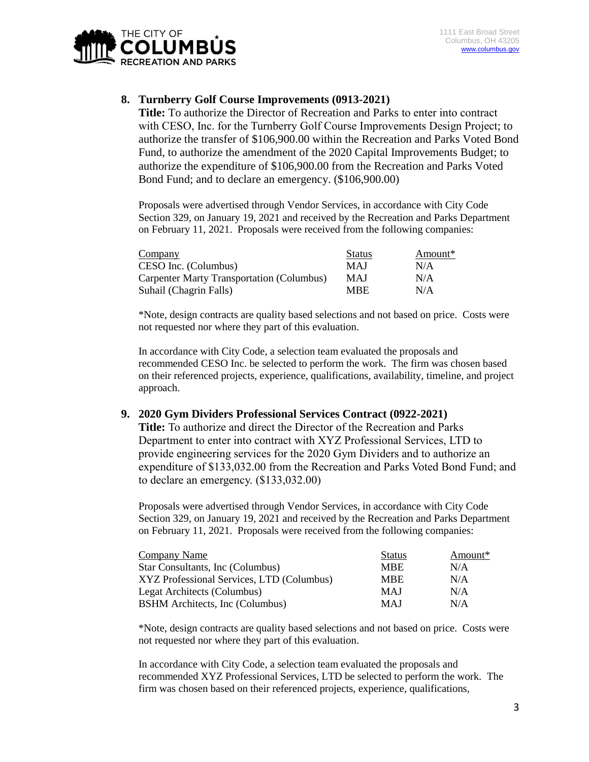

# **8. Turnberry Golf Course Improvements (0913-2021)**

**Title:** To authorize the Director of Recreation and Parks to enter into contract with CESO, Inc. for the Turnberry Golf Course Improvements Design Project; to authorize the transfer of \$106,900.00 within the Recreation and Parks Voted Bond Fund, to authorize the amendment of the 2020 Capital Improvements Budget; to authorize the expenditure of \$106,900.00 from the Recreation and Parks Voted Bond Fund; and to declare an emergency. (\$106,900.00)

Proposals were advertised through Vendor Services, in accordance with City Code Section 329, on January 19, 2021 and received by the Recreation and Parks Department on February 11, 2021. Proposals were received from the following companies:

| Company                                   | <b>Status</b> | Amount* |
|-------------------------------------------|---------------|---------|
| CESO Inc. (Columbus)                      | <b>MAJ</b>    | N/A     |
| Carpenter Marty Transportation (Columbus) | MAJ           | N/A     |
| Suhail (Chagrin Falls)                    | MBE.          | N/A     |

\*Note, design contracts are quality based selections and not based on price. Costs were not requested nor where they part of this evaluation.

In accordance with City Code, a selection team evaluated the proposals and recommended CESO Inc. be selected to perform the work. The firm was chosen based on their referenced projects, experience, qualifications, availability, timeline, and project approach.

### **9. 2020 Gym Dividers Professional Services Contract (0922-2021)**

**Title:** To authorize and direct the Director of the Recreation and Parks Department to enter into contract with XYZ Professional Services, LTD to provide engineering services for the 2020 Gym Dividers and to authorize an expenditure of \$133,032.00 from the Recreation and Parks Voted Bond Fund; and to declare an emergency. (\$133,032.00)

Proposals were advertised through Vendor Services, in accordance with City Code Section 329, on January 19, 2021 and received by the Recreation and Parks Department on February 11, 2021. Proposals were received from the following companies:

| Company Name                              | <b>Status</b> | Amount* |
|-------------------------------------------|---------------|---------|
| Star Consultants, Inc (Columbus)          | <b>MBE</b>    | N/A     |
| XYZ Professional Services, LTD (Columbus) | <b>MBE</b>    | N/A     |
| Legat Architects (Columbus)               | <b>MAJ</b>    | N/A     |
| <b>BSHM</b> Architects, Inc (Columbus)    | <b>MAJ</b>    | N/A     |

\*Note, design contracts are quality based selections and not based on price. Costs were not requested nor where they part of this evaluation.

In accordance with City Code, a selection team evaluated the proposals and recommended XYZ Professional Services, LTD be selected to perform the work. The firm was chosen based on their referenced projects, experience, qualifications,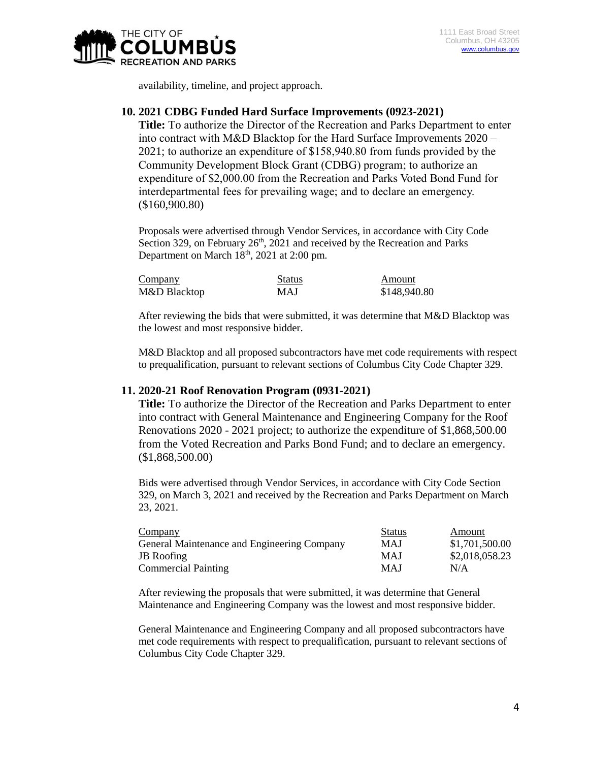

availability, timeline, and project approach.

#### **10. 2021 CDBG Funded Hard Surface Improvements (0923-2021)**

**Title:** To authorize the Director of the Recreation and Parks Department to enter into contract with M&D Blacktop for the Hard Surface Improvements 2020 – 2021; to authorize an expenditure of \$158,940.80 from funds provided by the Community Development Block Grant (CDBG) program; to authorize an expenditure of \$2,000.00 from the Recreation and Parks Voted Bond Fund for interdepartmental fees for prevailing wage; and to declare an emergency. (\$160,900.80)

Proposals were advertised through Vendor Services, in accordance with City Code Section 329, on February  $26<sup>th</sup>$ , 2021 and received by the Recreation and Parks Department on March  $18<sup>th</sup>$ , 2021 at 2:00 pm.

| Company      | <b>Status</b> | Amount       |
|--------------|---------------|--------------|
| M&D Blacktop | MAJ           | \$148,940.80 |

After reviewing the bids that were submitted, it was determine that M&D Blacktop was the lowest and most responsive bidder.

M&D Blacktop and all proposed subcontractors have met code requirements with respect to prequalification, pursuant to relevant sections of Columbus City Code Chapter 329.

### **11. 2020-21 Roof Renovation Program (0931-2021)**

**Title:** To authorize the Director of the Recreation and Parks Department to enter into contract with General Maintenance and Engineering Company for the Roof Renovations 2020 - 2021 project; to authorize the expenditure of \$1,868,500.00 from the Voted Recreation and Parks Bond Fund; and to declare an emergency. (\$1,868,500.00)

Bids were advertised through Vendor Services, in accordance with City Code Section 329, on March 3, 2021 and received by the Recreation and Parks Department on March 23, 2021.

| Company                                     | <b>Status</b> | Amount         |
|---------------------------------------------|---------------|----------------|
| General Maintenance and Engineering Company | MAJ           | \$1,701,500.00 |
| <b>JB</b> Roofing                           | MAJ           | \$2,018,058.23 |
| <b>Commercial Painting</b>                  | MAJ           | N/A            |

After reviewing the proposals that were submitted, it was determine that General Maintenance and Engineering Company was the lowest and most responsive bidder.

General Maintenance and Engineering Company and all proposed subcontractors have met code requirements with respect to prequalification, pursuant to relevant sections of Columbus City Code Chapter 329.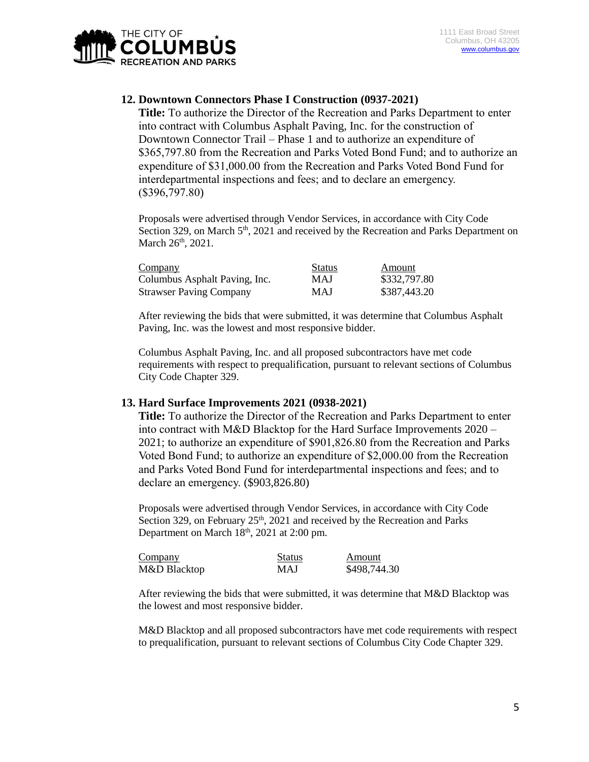

# **12. Downtown Connectors Phase I Construction (0937-2021)**

**Title:** To authorize the Director of the Recreation and Parks Department to enter into contract with Columbus Asphalt Paving, Inc. for the construction of Downtown Connector Trail – Phase 1 and to authorize an expenditure of \$365,797.80 from the Recreation and Parks Voted Bond Fund; and to authorize an expenditure of \$31,000.00 from the Recreation and Parks Voted Bond Fund for interdepartmental inspections and fees; and to declare an emergency. (\$396,797.80)

Proposals were advertised through Vendor Services, in accordance with City Code Section 329, on March 5<sup>th</sup>, 2021 and received by the Recreation and Parks Department on March 26<sup>th</sup>, 2021.

| Company                        | <b>Status</b> | Amount       |
|--------------------------------|---------------|--------------|
| Columbus Asphalt Paving, Inc.  | <b>MAJ</b>    | \$332,797.80 |
| <b>Strawser Paving Company</b> | MAJ           | \$387,443.20 |

After reviewing the bids that were submitted, it was determine that Columbus Asphalt Paving, Inc. was the lowest and most responsive bidder.

Columbus Asphalt Paving, Inc. and all proposed subcontractors have met code requirements with respect to prequalification, pursuant to relevant sections of Columbus City Code Chapter 329.

#### **13. Hard Surface Improvements 2021 (0938-2021)**

**Title:** To authorize the Director of the Recreation and Parks Department to enter into contract with M&D Blacktop for the Hard Surface Improvements 2020 – 2021; to authorize an expenditure of \$901,826.80 from the Recreation and Parks Voted Bond Fund; to authorize an expenditure of \$2,000.00 from the Recreation and Parks Voted Bond Fund for interdepartmental inspections and fees; and to declare an emergency. (\$903,826.80)

Proposals were advertised through Vendor Services, in accordance with City Code Section 329, on February  $25<sup>th</sup>$ , 2021 and received by the Recreation and Parks Department on March 18<sup>th</sup>, 2021 at 2:00 pm.

| Company      | <b>Status</b> | Amount       |
|--------------|---------------|--------------|
| M&D Blacktop | MAJ           | \$498,744.30 |

After reviewing the bids that were submitted, it was determine that M&D Blacktop was the lowest and most responsive bidder.

M&D Blacktop and all proposed subcontractors have met code requirements with respect to prequalification, pursuant to relevant sections of Columbus City Code Chapter 329.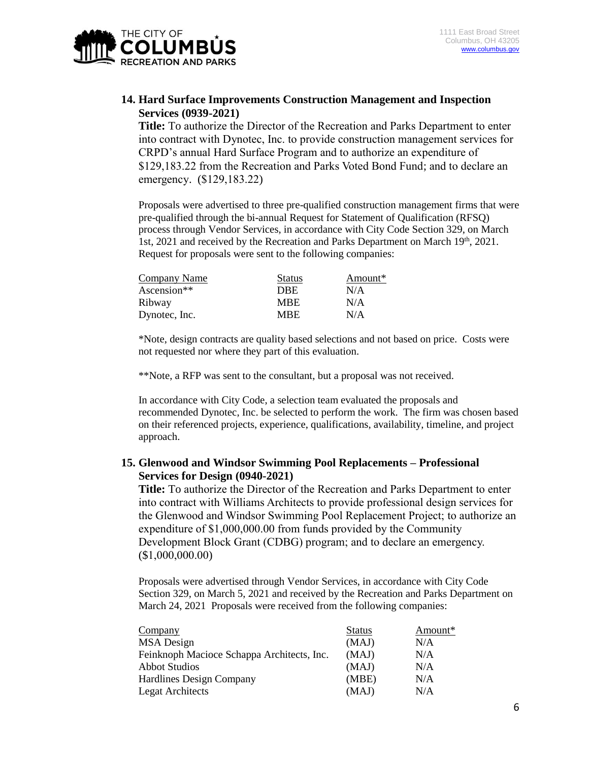

### **14. Hard Surface Improvements Construction Management and Inspection Services (0939-2021)**

**Title:** To authorize the Director of the Recreation and Parks Department to enter into contract with Dynotec, Inc. to provide construction management services for CRPD's annual Hard Surface Program and to authorize an expenditure of \$129,183.22 from the Recreation and Parks Voted Bond Fund; and to declare an emergency. (\$129,183.22)

Proposals were advertised to three pre-qualified construction management firms that were pre-qualified through the bi-annual Request for Statement of Qualification (RFSQ) process through Vendor Services, in accordance with City Code Section 329, on March 1st, 2021 and received by the Recreation and Parks Department on March 19th, 2021. Request for proposals were sent to the following companies:

| Company Name  | <b>Status</b> | Amount* |
|---------------|---------------|---------|
| Ascension**   | DBE           | N/A     |
| Ribway        | <b>MBE</b>    | N/A     |
| Dynotec, Inc. | MBE.          | N/A     |

\*Note, design contracts are quality based selections and not based on price. Costs were not requested nor where they part of this evaluation.

\*\*Note, a RFP was sent to the consultant, but a proposal was not received.

In accordance with City Code, a selection team evaluated the proposals and recommended Dynotec, Inc. be selected to perform the work. The firm was chosen based on their referenced projects, experience, qualifications, availability, timeline, and project approach.

# **15. Glenwood and Windsor Swimming Pool Replacements – Professional Services for Design (0940-2021)**

**Title:** To authorize the Director of the Recreation and Parks Department to enter into contract with Williams Architects to provide professional design services for the Glenwood and Windsor Swimming Pool Replacement Project; to authorize an expenditure of \$1,000,000.00 from funds provided by the Community Development Block Grant (CDBG) program; and to declare an emergency. (\$1,000,000.00)

Proposals were advertised through Vendor Services, in accordance with City Code Section 329, on March 5, 2021 and received by the Recreation and Parks Department on March 24, 2021 Proposals were received from the following companies:

| Company                                    | <b>Status</b> | Amount* |
|--------------------------------------------|---------------|---------|
| <b>MSA</b> Design                          | (MAJ)         | N/A     |
| Feinknoph Macioce Schappa Architects, Inc. | (MAJ)         | N/A     |
| <b>Abbot Studios</b>                       | (MAJ)         | N/A     |
| <b>Hardlines Design Company</b>            | (MBE)         | N/A     |
| <b>Legat Architects</b>                    | (MAJ)         | N/A     |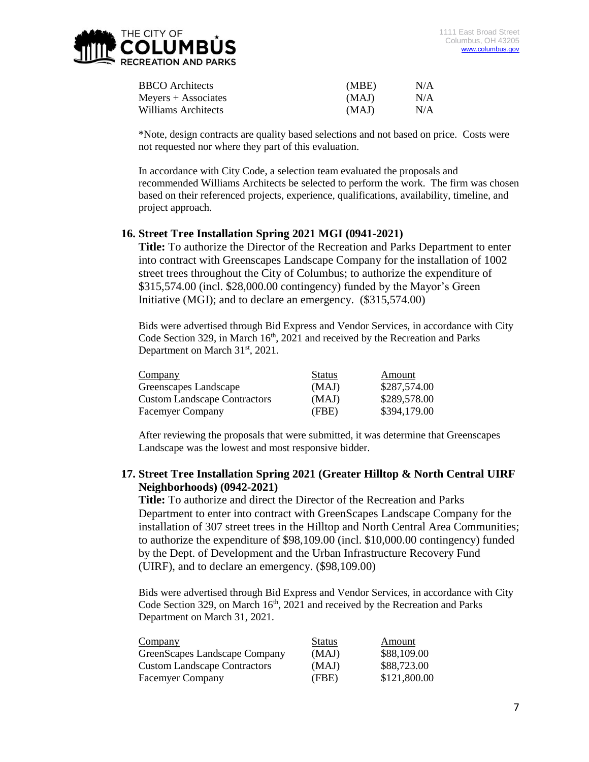| <b>BBCO</b> Architects | (MBE) | N/A |
|------------------------|-------|-----|
| $Meyers + Associates$  | (MAJ) | N/A |
| Williams Architects    | (MAJ) | N/A |

\*Note, design contracts are quality based selections and not based on price. Costs were not requested nor where they part of this evaluation.

In accordance with City Code, a selection team evaluated the proposals and recommended Williams Architects be selected to perform the work. The firm was chosen based on their referenced projects, experience, qualifications, availability, timeline, and project approach.

### **16. Street Tree Installation Spring 2021 MGI (0941-2021)**

**Title:** To authorize the Director of the Recreation and Parks Department to enter into contract with Greenscapes Landscape Company for the installation of 1002 street trees throughout the City of Columbus; to authorize the expenditure of \$315,574.00 (incl. \$28,000.00 contingency) funded by the Mayor's Green Initiative (MGI); and to declare an emergency. (\$315,574.00)

Bids were advertised through Bid Express and Vendor Services, in accordance with City Code Section 329, in March  $16<sup>th</sup>$ , 2021 and received by the Recreation and Parks Department on March 31<sup>st</sup>, 2021.

| Company                             | <b>Status</b> | Amount       |
|-------------------------------------|---------------|--------------|
| Greenscapes Landscape               | (MAJ)         | \$287,574.00 |
| <b>Custom Landscape Contractors</b> | (MAJ)         | \$289,578.00 |
| <b>Facemyer Company</b>             | (FBE)         | \$394,179.00 |

After reviewing the proposals that were submitted, it was determine that Greenscapes Landscape was the lowest and most responsive bidder.

# **17. Street Tree Installation Spring 2021 (Greater Hilltop & North Central UIRF Neighborhoods) (0942-2021)**

**Title:** To authorize and direct the Director of the Recreation and Parks Department to enter into contract with GreenScapes Landscape Company for the installation of 307 street trees in the Hilltop and North Central Area Communities; to authorize the expenditure of \$98,109.00 (incl. \$10,000.00 contingency) funded by the Dept. of Development and the Urban Infrastructure Recovery Fund (UIRF), and to declare an emergency. (\$98,109.00)

Bids were advertised through Bid Express and Vendor Services, in accordance with City Code Section 329, on March  $16<sup>th</sup>$ , 2021 and received by the Recreation and Parks Department on March 31, 2021.

| Company                             | <b>Status</b> | Amount       |
|-------------------------------------|---------------|--------------|
| GreenScapes Landscape Company       | (MAJ)         | \$88,109.00  |
| <b>Custom Landscape Contractors</b> | (MAJ)         | \$88,723.00  |
| <b>Facemyer Company</b>             | (FBE)         | \$121,800.00 |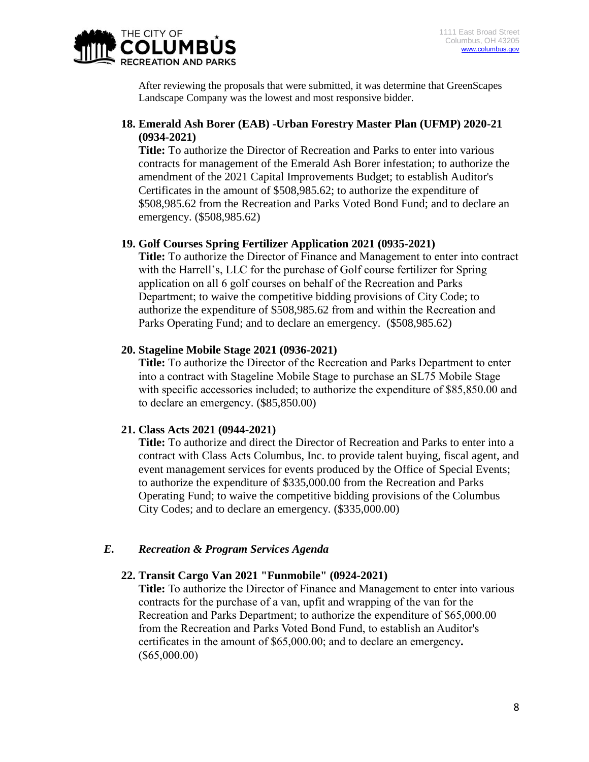

After reviewing the proposals that were submitted, it was determine that GreenScapes Landscape Company was the lowest and most responsive bidder.

# **18. Emerald Ash Borer (EAB) -Urban Forestry Master Plan (UFMP) 2020-21 (0934-2021)**

**Title:** To authorize the Director of Recreation and Parks to enter into various contracts for management of the Emerald Ash Borer infestation; to authorize the amendment of the 2021 Capital Improvements Budget; to establish Auditor's Certificates in the amount of \$508,985.62; to authorize the expenditure of \$508,985.62 from the Recreation and Parks Voted Bond Fund; and to declare an emergency. (\$508,985.62)

### **19. Golf Courses Spring Fertilizer Application 2021 (0935-2021)**

**Title:** To authorize the Director of Finance and Management to enter into contract with the Harrell's, LLC for the purchase of Golf course fertilizer for Spring application on all 6 golf courses on behalf of the Recreation and Parks Department; to waive the competitive bidding provisions of City Code; to authorize the expenditure of \$508,985.62 from and within the Recreation and Parks Operating Fund; and to declare an emergency. (\$508,985.62)

### **20. Stageline Mobile Stage 2021 (0936-2021)**

**Title:** To authorize the Director of the Recreation and Parks Department to enter into a contract with Stageline Mobile Stage to purchase an SL75 Mobile Stage with specific accessories included; to authorize the expenditure of \$85,850.00 and to declare an emergency. (\$85,850.00)

# **21. Class Acts 2021 (0944-2021)**

**Title:** To authorize and direct the Director of Recreation and Parks to enter into a contract with Class Acts Columbus, Inc. to provide talent buying, fiscal agent, and event management services for events produced by the Office of Special Events; to authorize the expenditure of \$335,000.00 from the Recreation and Parks Operating Fund; to waive the competitive bidding provisions of the Columbus City Codes; and to declare an emergency. (\$335,000.00)

# *E. Recreation & Program Services Agenda*

### **22. Transit Cargo Van 2021 "Funmobile" (0924-2021)**

**Title:** To authorize the Director of Finance and Management to enter into various contracts for the purchase of a van, upfit and wrapping of the van for the Recreation and Parks Department; to authorize the expenditure of \$65,000.00 from the Recreation and Parks Voted Bond Fund, to establish an Auditor's certificates in the amount of \$65,000.00; and to declare an emergency**.**  (\$65,000.00)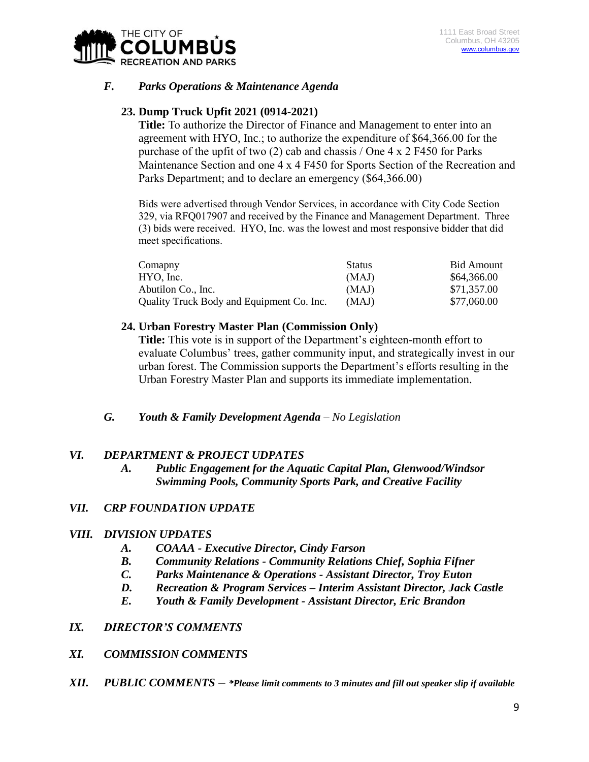

# *F. Parks Operations & Maintenance Agenda*

# **23. Dump Truck Upfit 2021 (0914-2021)**

**Title:** To authorize the Director of Finance and Management to enter into an agreement with HYO, Inc.; to authorize the expenditure of \$64,366.00 for the purchase of the upfit of two (2) cab and chassis / One 4 x 2 F450 for Parks Maintenance Section and one 4 x 4 F450 for Sports Section of the Recreation and Parks Department; and to declare an emergency (\$64,366.00)

Bids were advertised through Vendor Services, in accordance with City Code Section 329, via RFQ017907 and received by the Finance and Management Department. Three (3) bids were received. HYO, Inc. was the lowest and most responsive bidder that did meet specifications.

| Comapny                                   | <b>Status</b> | Bid Amount  |
|-------------------------------------------|---------------|-------------|
| HYO, Inc.                                 | (MAJ)         | \$64,366.00 |
| Abutilon Co., Inc.                        | (MAJ)         | \$71,357.00 |
| Quality Truck Body and Equipment Co. Inc. | (MAJ)         | \$77,060.00 |

#### **24. Urban Forestry Master Plan (Commission Only)**

**Title:** This vote is in support of the Department's eighteen-month effort to evaluate Columbus' trees, gather community input, and strategically invest in our urban forest. The Commission supports the Department's efforts resulting in the Urban Forestry Master Plan and supports its immediate implementation.

### *G. Youth & Family Development Agenda – No Legislation*

### *VI. DEPARTMENT & PROJECT UDPATES*

*A. Public Engagement for the Aquatic Capital Plan, Glenwood/Windsor Swimming Pools, Community Sports Park, and Creative Facility*

### *VII. CRP FOUNDATION UPDATE*

### *VIII. DIVISION UPDATES*

- *A. COAAA - Executive Director, Cindy Farson*
- *B. Community Relations - Community Relations Chief, Sophia Fifner*
- *C. Parks Maintenance & Operations - Assistant Director, Troy Euton*
- *D. Recreation & Program Services – Interim Assistant Director, Jack Castle*
- *E. Youth & Family Development - Assistant Director, Eric Brandon*

### *IX. DIRECTOR'S COMMENTS*

### *XI. COMMISSION COMMENTS*

*XII. PUBLIC COMMENTS – \*Please limit comments to 3 minutes and fill out speaker slip if available*